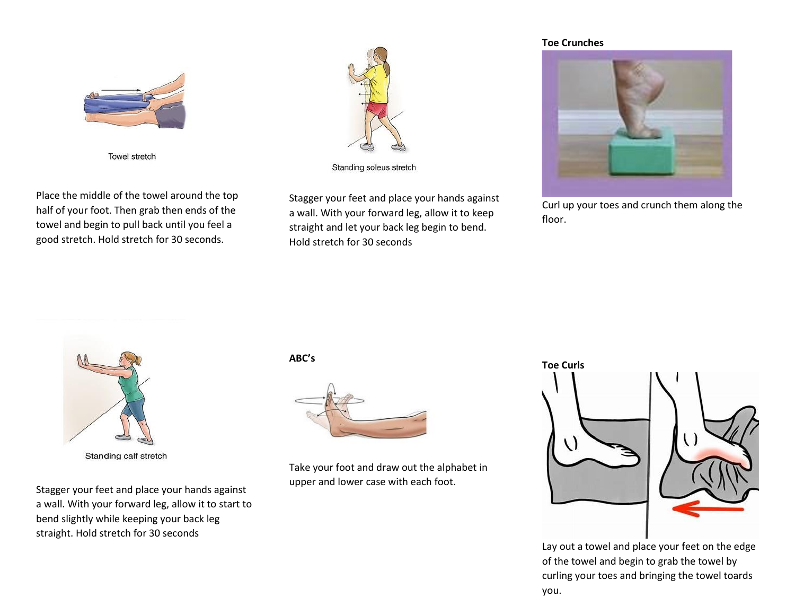

Towel stretch

Place the middle of the towel around the top half of your foot. Then grab then ends of the towel and begin to pull back until you feel a good stretch. Hold stretch for 30 seconds.



Standing soleus stretch

Stagger your feet and place your hands against a wall. With your forward leg, allow it to keep straight and let your back leg begin to bend. Hold stretch for 30 seconds

## **Toe Crunches**



Curl up your toes and crunch them along the floor.



Standing calf stretch

Stagger your feet and place your hands against a wall. With your forward leg, allow it to start to bend slightly while keeping your back leg straight. Hold stretch for 30 seconds

## **ABC's**



Take your foot and draw out the alphabet in upper and lower case with each foot.

## **Toe Curls**



Lay out a towel and place your feet on the edge of the towel and begin to grab the towel by curling your toes and bringing the towel toards you.